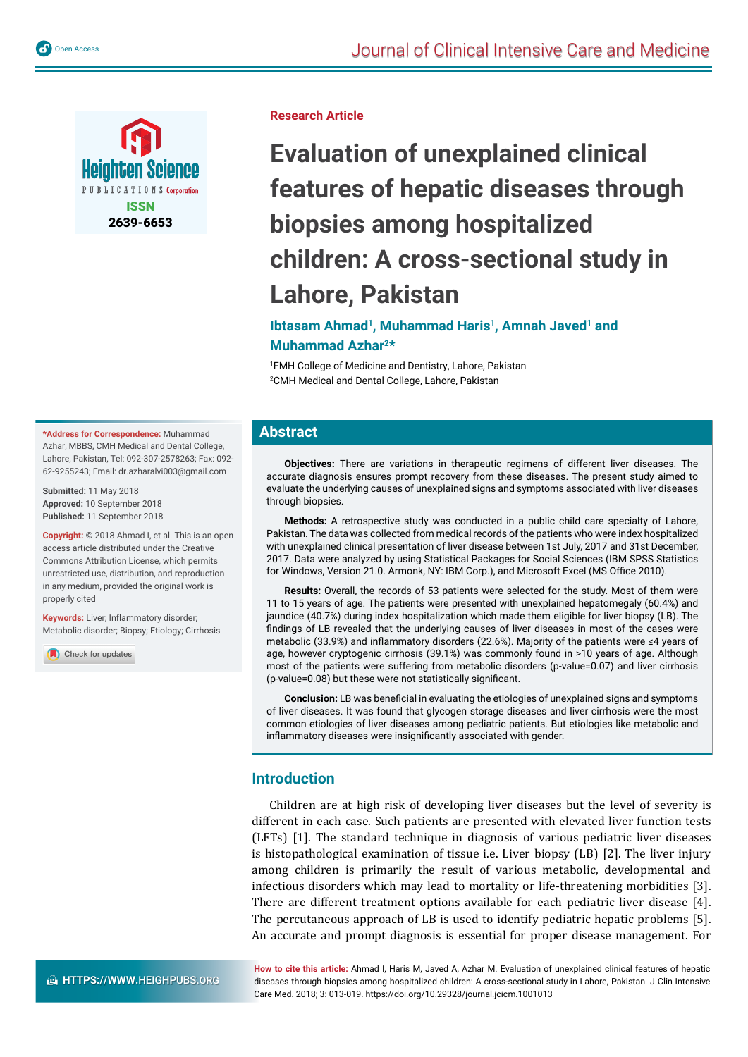

**Research Article**

# **Evaluation of unexplained clinical features of hepatic diseases through biopsies among hospitalized children: A cross-sectional study in Lahore, Pakistan**

# **Ibtasam Ahmad<sup>1</sup>, Muhammad Haris<sup>1</sup>, Amnah Javed<sup>1</sup> and Muhammad Azhar2\***

1 FMH College of Medicine and Dentistry, Lahore, Pakistan 2 CMH Medical and Dental College, Lahore, Pakistan

# **Abstract**

**Objectives:** There are variations in therapeutic regimens of different liver diseases. The accurate diagnosis ensures prompt recovery from these diseases. The present study aimed to evaluate the underlying causes of unexplained signs and symptoms associated with liver diseases through biopsies.

**Methods:** A retrospective study was conducted in a public child care specialty of Lahore, Pakistan. The data was collected from medical records of the patients who were index hospitalized with unexplained clinical presentation of liver disease between 1st July, 2017 and 31st December, 2017. Data were analyzed by using Statistical Packages for Social Sciences (IBM SPSS Statistics for Windows, Version 21.0. Armonk, NY: IBM Corp.), and Microsoft Excel (MS Office 2010).

**Results:** Overall, the records of 53 patients were selected for the study. Most of them were 11 to 15 years of age. The patients were presented with unexplained hepatomegaly (60.4%) and jaundice (40.7%) during index hospitalization which made them eligible for liver biopsy (LB). The findings of LB revealed that the underlying causes of liver diseases in most of the cases were metabolic (33.9%) and inflammatory disorders (22.6%). Majority of the patients were ≤4 years of age, however cryptogenic cirrhosis (39.1%) was commonly found in >10 years of age. Although most of the patients were suffering from metabolic disorders (p-value=0.07) and liver cirrhosis (p-value=0.08) but these were not statistically significant.

**Conclusion:** LB was beneficial in evaluating the etiologies of unexplained signs and symptoms of liver diseases. It was found that glycogen storage diseases and liver cirrhosis were the most common etiologies of liver diseases among pediatric patients. But etiologies like metabolic and inflammatory diseases were insignificantly associated with gender.

# **Introduction**

Children are at high risk of developing liver diseases but the level of severity is different in each case. Such patients are presented with elevated liver function tests (LFTs) [1]. The standard technique in diagnosis of various pediatric liver diseases is histopathological examination of tissue i.e. Liver biopsy (LB) [2]. The liver injury among children is primarily the result of various metabolic, developmental and infectious disorders which may lead to mortality or life-threatening morbidities [3]. There are different treatment options available for each pediatric liver disease [4]. The percutaneous approach of LB is used to identify pediatric hepatic problems [5]. An accurate and prompt diagnosis is essential for proper disease management. For

**How to cite this article:** Ahmad I, Haris M, Javed A, Azhar M. Evaluation of unexplained clinical features of hepatic diseases through biopsies among hospitalized children: A cross-sectional study in Lahore, Pakistan. J Clin Intensive Care Med. 2018; 3: 013-019. https://doi.org/10.29328/journal.jcicm.1001013

**\*Address for Correspondence:** Muhammad Azhar, MBBS, CMH Medical and Dental College, Lahore, Pakistan, Tel: 092-307-2578263; Fax: 092- 62-9255243; Email: dr.azharalvi003@gmail.com

**Submitted:** 11 May 2018 **Approved:** 10 September 2018 **Published:** 11 September 2018

**Copyright: ©** 2018 Ahmad I, et al. This is an open access article distributed under the Creative Commons Attribution License, which permits unrestricted use, distribution, and reproduction in any medium, provided the original work is properly cited

**Keywords:** Liver: Inflammatory disorder; Metabolic disorder; Biopsy; Etiology; Cirrhosis

Check for updates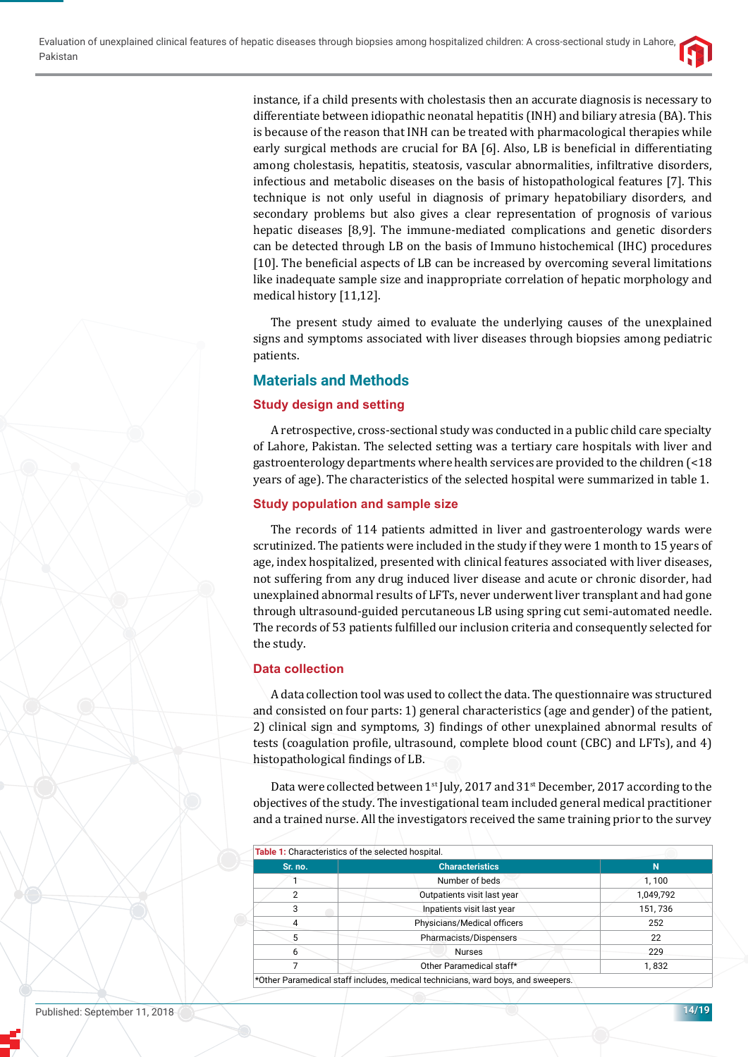instance, if a child presents with cholestasis then an accurate diagnosis is necessary to differentiate between idiopathic neonatal hepatitis (INH) and biliary atresia (BA). This is because of the reason that INH can be treated with pharmacological therapies while early surgical methods are crucial for BA [6]. Also, LB is beneficial in differentiating among cholestasis, hepatitis, steatosis, vascular abnormalities, infiltrative disorders, infectious and metabolic diseases on the basis of histopathological features [7]. This technique is not only useful in diagnosis of primary hepatobiliary disorders, and secondary problems but also gives a clear representation of prognosis of various hepatic diseases [8,9]. The immune-mediated complications and genetic disorders can be detected through LB on the basis of Immuno histochemical (IHC) procedures [10]. The beneficial aspects of LB can be increased by overcoming several limitations like inadequate sample size and inappropriate correlation of hepatic morphology and medical history [11,12].

The present study aimed to evaluate the underlying causes of the unexplained signs and symptoms associated with liver diseases through biopsies among pediatric patients.

# **Materials and Methods**

# **Study design and setting**

A retrospective, cross-sectional study was conducted in a public child care specialty of Lahore, Pakistan. The selected setting was a tertiary care hospitals with liver and gastroenterology departments where health services are provided to the children (<18 years of age). The characteristics of the selected hospital were summarized in table 1.

# **Study population and sample size**

The records of 114 patients admitted in liver and gastroenterology wards were scrutinized. The patients were included in the study if they were 1 month to 15 years of age, index hospitalized, presented with clinical features associated with liver diseases, not suffering from any drug induced liver disease and acute or chronic disorder, had unexplained abnormal results of LFTs, never underwent liver transplant and had gone through ultrasound-guided percutaneous LB using spring cut semi-automated needle. The records of 53 patients fulfilled our inclusion criteria and consequently selected for the study.

# **Data collection**

A data collection tool was used to collect the data. The questionnaire was structured and consisted on four parts: 1) general characteristics (age and gender) of the patient, 2) clinical sign and symptoms, 3) findings of other unexplained abnormal results of tests (coagulation profile, ultrasound, complete blood count (CBC) and LFTs), and 4) histopathological findings of LB.

Data were collected between 1<sup>st</sup> July, 2017 and 31<sup>st</sup> December, 2017 according to the objectives of the study. The investigational team included general medical practitioner and a trained nurse. All the investigators received the same training prior to the survey

| Sr. no.        | <b>Characteristics</b>      | N         |
|----------------|-----------------------------|-----------|
|                | Number of beds              | 1,100     |
| $\overline{2}$ | Outpatients visit last year | 1,049,792 |
| 3              | Inpatients visit last year  | 151,736   |
| 4              | Physicians/Medical officers | 252       |
| 5              | Pharmacists/Dispensers      | 22        |
| 6              | <b>Nurses</b>               | 229       |
|                | Other Paramedical staff*    | 1,832     |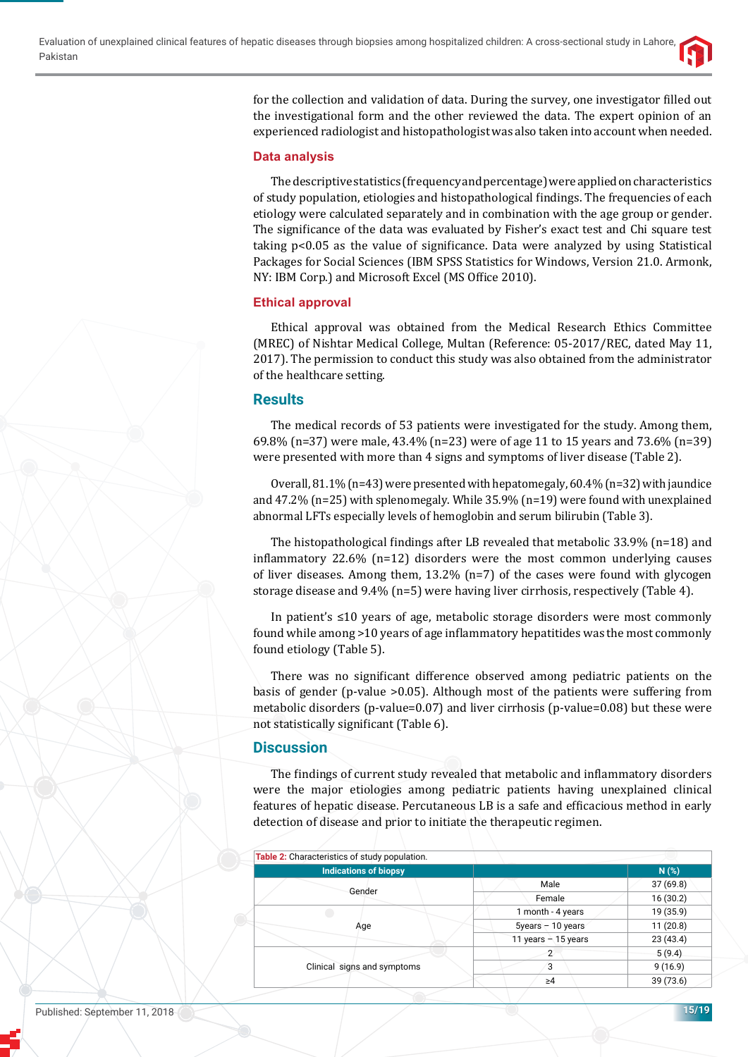

for the collection and validation of data. During the survey, one investigator filled out the investigational form and the other reviewed the data. The expert opinion of an experienced radiologist and histopathologist was also taken into account when needed.

#### **Data analysis**

The descriptive statistics (frequency and percentage) were applied on characteristics of study population, etiologies and histopathological findings. The frequencies of each etiology were calculated separately and in combination with the age group or gender. The significance of the data was evaluated by Fisher's exact test and Chi square test taking  $p<0.05$  as the value of significance. Data were analyzed by using Statistical Packages for Social Sciences (IBM SPSS Statistics for Windows, Version 21.0. Armonk, NY: IBM Corp.) and Microsoft Excel (MS Office 2010).

#### **Ethical approval**

Ethical approval was obtained from the Medical Research Ethics Committee (MREC) of Nishtar Medical College, Multan (Reference: 05-2017/REC, dated May 11, 2017). The permission to conduct this study was also obtained from the administrator of the healthcare setting.

# **Results**

The medical records of 53 patients were investigated for the study. Among them, 69.8% (n=37) were male, 43.4% (n=23) were of age 11 to 15 years and 73.6% (n=39) were presented with more than 4 signs and symptoms of liver disease (Table 2).

Overall,  $81.1\%$  (n=43) were presented with hepatomegaly,  $60.4\%$  (n=32) with jaundice and 47.2% (n=25) with splenomegaly. While 35.9% (n=19) were found with unexplained abnormal LFTs especially levels of hemoglobin and serum bilirubin (Table 3).

The histopathological findings after LB revealed that metabolic 33.9% (n=18) and inflammatory 22.6% (n=12) disorders were the most common underlying causes of liver diseases. Among them,  $13.2\%$  (n=7) of the cases were found with glycogen storage disease and 9.4% (n=5) were having liver cirrhosis, respectively (Table 4).

In patient's ≤10 years of age, metabolic storage disorders were most commonly found while among >10 years of age inflammatory hepatitides was the most commonly found etiology (Table 5).

There was no significant difference observed among pediatric patients on the basis of gender (p-value >0.05). Although most of the patients were suffering from metabolic disorders (p-value=0.07) and liver cirrhosis (p-value=0.08) but these were not statistically significant (Table 6).

# **Discussion**

The findings of current study revealed that metabolic and inflammatory disorders were the major etiologies among pediatric patients having unexplained clinical features of hepatic disease. Percutaneous LB is a safe and efficacious method in early detection of disease and prior to initiate the therapeutic regimen.

| Table 2: Characteristics of study population. |                       |           |
|-----------------------------------------------|-----------------------|-----------|
| <b>Indications of biopsy</b>                  |                       | N(%)      |
|                                               | Male                  | 37(69.8)  |
| Gender                                        | Female                | 16(30.2)  |
|                                               | 1 month - 4 years     | 19 (35.9) |
| Age                                           | $5$ years $-10$ years | 11(20.8)  |
|                                               | 11 years $-15$ years  | 23(43.4)  |
|                                               | 2                     | 5(9.4)    |
| Clinical signs and symptoms                   | 3                     | 9(16.9)   |
|                                               | $\geq 4$              | 39 (73.6) |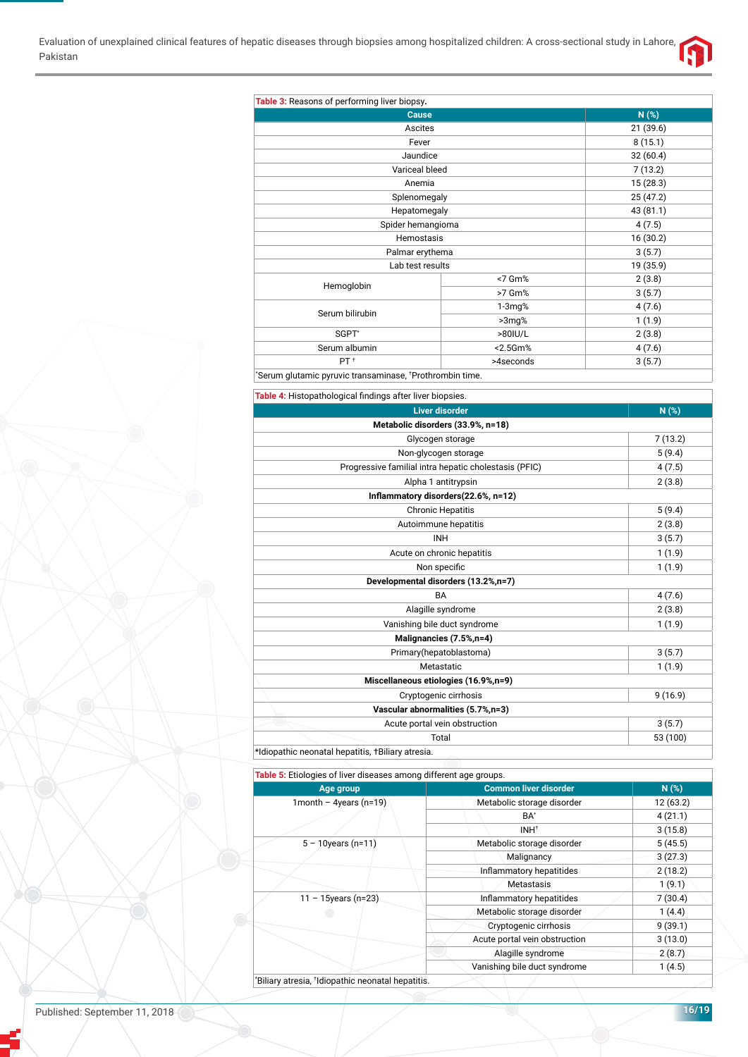

| Cause                               |           | N(%)      |
|-------------------------------------|-----------|-----------|
| Ascites                             |           | 21 (39.6) |
| Fever                               |           | 8(15.1)   |
| Jaundice                            |           | 32(60.4)  |
| Variceal bleed                      |           | 7(13.2)   |
| Anemia                              |           | 15(28.3)  |
| Splenomegaly                        |           | 25(47.2)  |
| Hepatomegaly                        |           | 43 (81.1) |
| Spider hemangioma                   |           | 4(7.5)    |
| Hemostasis                          |           | 16(30.2)  |
| Palmar erythema<br>Lab test results |           | 3(5.7)    |
|                                     |           | 19 (35.9) |
|                                     | <7 Gm%    | 2(3.8)    |
| Hemoglobin                          | >7 Gm%    | 3(5.7)    |
| Serum bilirubin                     | $1-3mg%$  | 4(7.6)    |
|                                     | $>3mg$ %  | 1(1.9)    |
| SGPT*                               | >80IU/L   | 2(3.8)    |
| Serum albumin                       | <2.5Gm%   | 4(7.6)    |
| PT <sup>+</sup>                     | >4seconds | 3(5.7)    |

| Table 4: Histopathological findings after liver biopsies. |          |
|-----------------------------------------------------------|----------|
| <b>Liver disorder</b>                                     | N(%)     |
| Metabolic disorders (33.9%, n=18)                         |          |
| Glycogen storage                                          | 7(13.2)  |
| Non-glycogen storage                                      | 5(9.4)   |
| Progressive familial intra hepatic cholestasis (PFIC)     | 4(7.5)   |
| Alpha 1 antitrypsin                                       | 2(3.8)   |
| Inflammatory disorders(22.6%, n=12)                       |          |
| <b>Chronic Hepatitis</b>                                  | 5(9.4)   |
| Autoimmune hepatitis                                      | 2(3.8)   |
| <b>INH</b>                                                | 3(5.7)   |
| Acute on chronic hepatitis                                | 1(1.9)   |
| Non specific                                              | 1(1.9)   |
| Developmental disorders (13.2%,n=7)                       |          |
| <b>BA</b>                                                 | 4(7.6)   |
| Alagille syndrome                                         | 2(3.8)   |
| Vanishing bile duct syndrome                              | 1(1.9)   |
| Malignancies (7.5%,n=4)                                   |          |
| Primary(hepatoblastoma)                                   | 3(5.7)   |
| Metastatic                                                | 1(1.9)   |
| Miscellaneous etiologies (16.9%,n=9)                      |          |
| Cryptogenic cirrhosis                                     | 9(16.9)  |
| Vascular abnormalities (5.7%,n=3)                         |          |
| Acute portal vein obstruction                             | 3(5.7)   |
| Total                                                     | 53 (100) |
| *Idiopathic neonatal hepatitis, +Biliary atresia.         |          |

**Table 5:** Etiologies of liver diseases among different age groups.

| Age group              | <b>Common liver disorder</b>  |          |
|------------------------|-------------------------------|----------|
| 1month - 4years (n=19) | Metabolic storage disorder    | 12(63.2) |
|                        | BA*                           | 4(21.1)  |
|                        | INH <sup>+</sup>              | 3(15.8)  |
| $5 - 10$ years (n=11)  | Metabolic storage disorder    | 5(45.5)  |
|                        | Malignancy                    |          |
|                        | Inflammatory hepatitides      | 2(18.2)  |
|                        | Metastasis                    |          |
| $11 - 15$ years (n=23) | Inflammatory hepatitides      | 7(30.4)  |
|                        | Metabolic storage disorder    | 1(4.4)   |
|                        | Cryptogenic cirrhosis         | 9(39.1)  |
|                        | Acute portal vein obstruction | 3(13.0)  |
|                        | Alagille syndrome             | 2(8.7)   |
|                        | Vanishing bile duct syndrome  |          |

Published: September 11, 2018 **16/19**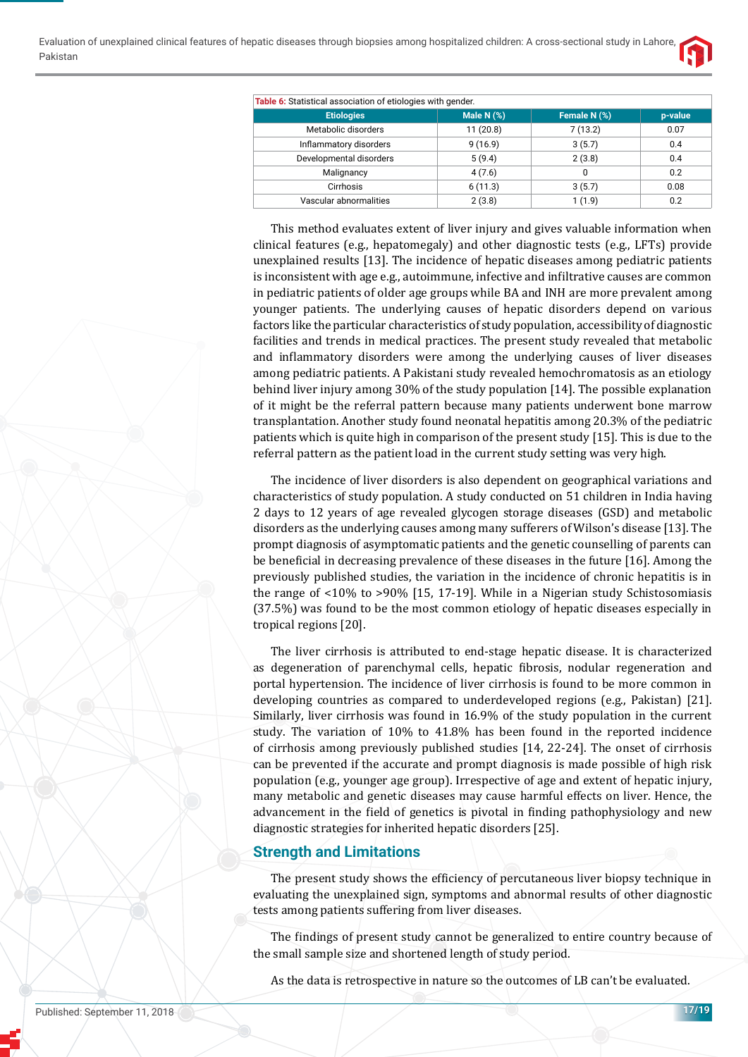

| Table 6: Statistical association of etiologies with gender. |              |              |         |  |
|-------------------------------------------------------------|--------------|--------------|---------|--|
| <b>Etiologies</b>                                           | Male N $(%)$ | Female N (%) | p-value |  |
| Metabolic disorders                                         | 11(20.8)     | 7(13.2)      | 0.07    |  |
| Inflammatory disorders                                      | 9(16.9)      | 3(5.7)       | 0.4     |  |
| Developmental disorders                                     | 5(9.4)       | 2(3.8)       | 0.4     |  |
| Malignancy                                                  | 4(7.6)       | 0            | 0.2     |  |
| Cirrhosis                                                   | 6(11.3)      | 3(5.7)       | 0.08    |  |
| Vascular abnormalities                                      | 2(3.8)       | 1(1.9)       | 0.2     |  |

This method evaluates extent of liver injury and gives valuable information when clinical features (e.g., hepatomegaly) and other diagnostic tests (e.g., LFTs) provide unexplained results [13]. The incidence of hepatic diseases among pediatric patients is inconsistent with age e.g., autoimmune, infective and infiltrative causes are common in pediatric patients of older age groups while BA and INH are more prevalent among younger patients. The underlying causes of hepatic disorders depend on various factors like the particular characteristics of study population, accessibility of diagnostic facilities and trends in medical practices. The present study revealed that metabolic and inflammatory disorders were among the underlying causes of liver diseases among pediatric patients. A Pakistani study revealed hemochromatosis as an etiology behind liver injury among 30% of the study population [14]. The possible explanation of it might be the referral pattern because many patients underwent bone marrow transplantation. Another study found neonatal hepatitis among 20.3% of the pediatric patients which is quite high in comparison of the present study [15]. This is due to the referral pattern as the patient load in the current study setting was very high.

The incidence of liver disorders is also dependent on geographical variations and characteristics of study population. A study conducted on 51 children in India having 2 days to 12 years of age revealed glycogen storage diseases (GSD) and metabolic disorders as the underlying causes among many sufferers of Wilson's disease [13]. The prompt diagnosis of asymptomatic patients and the genetic counselling of parents can be beneficial in decreasing prevalence of these diseases in the future [16]. Among the previously published studies, the variation in the incidence of chronic hepatitis is in the range of <10% to >90% [15, 17-19]. While in a Nigerian study Schistosomiasis (37.5%) was found to be the most common etiology of hepatic diseases especially in tropical regions [20].

The liver cirrhosis is attributed to end-stage hepatic disease. It is characterized as degeneration of parenchymal cells, hepatic fibrosis, nodular regeneration and portal hypertension. The incidence of liver cirrhosis is found to be more common in developing countries as compared to underdeveloped regions (e.g., Pakistan) [21]. Similarly, liver cirrhosis was found in 16.9% of the study population in the current study. The variation of 10% to 41.8% has been found in the reported incidence of cirrhosis among previously published studies [14, 22-24]. The onset of cirrhosis can be prevented if the accurate and prompt diagnosis is made possible of high risk population (e.g., younger age group). Irrespective of age and extent of hepatic injury, many metabolic and genetic diseases may cause harmful effects on liver. Hence, the advancement in the field of genetics is pivotal in finding pathophysiology and new diagnostic strategies for inherited hepatic disorders [25].

# **Strength and Limitations**

The present study shows the efficiency of percutaneous liver biopsy technique in evaluating the unexplained sign, symptoms and abnormal results of other diagnostic tests among patients suffering from liver diseases.

The findings of present study cannot be generalized to entire country because of the small sample size and shortened length of study period.

As the data is retrospective in nature so the outcomes of LB can't be evaluated.

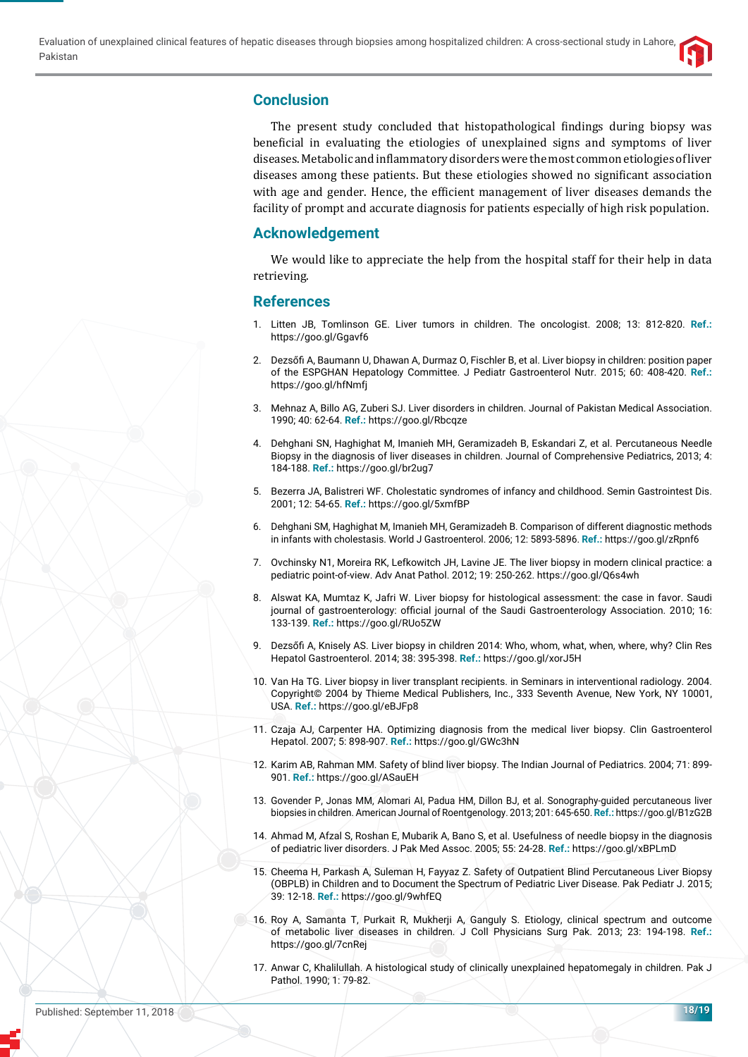

# **Conclusion**

The present study concluded that histopathological findings during biopsy was beneficial in evaluating the etiologies of unexplained signs and symptoms of liver diseases. Metabolic and inflammatory disorders were the most common etiologies of liver diseases among these patients. But these etiologies showed no significant association with age and gender. Hence, the efficient management of liver diseases demands the facility of prompt and accurate diagnosis for patients especially of high risk population.

# **Acknowledgement**

We would like to appreciate the help from the hospital staff for their help in data retrieving.

#### **References**

- 1. Litten JB, Tomlinson GE. Liver tumors in children. The oncologist. 2008; 13: 812-820. **Ref.:** https://goo.gl/Ggavf6
- 2. Dezsőfi A, Baumann U, Dhawan A, Durmaz O, Fischler B, et al. Liver biopsy in children: position paper of the ESPGHAN Hepatology Committee. J Pediatr Gastroenterol Nutr. 2015; 60: 408-420. **Ref.:** https://goo.gl/hfNmfj
- 3. Mehnaz A, Billo AG, Zuberi SJ. Liver disorders in children. Journal of Pakistan Medical Association. 1990; 40: 62-64. **Ref.:** https://goo.gl/Rbcqze
- 4. Dehghani SN, Haghighat M, Imanieh MH, Geramizadeh B, Eskandari Z, et al. Percutaneous Needle Biopsy in the diagnosis of liver diseases in children. Journal of Comprehensive Pediatrics, 2013; 4: 184-188. **Ref.:** https://goo.gl/br2ug7
- 5. Bezerra JA, Balistreri WF. Cholestatic syndromes of infancy and childhood. Semin Gastrointest Dis. 2001; 12: 54-65. **Ref.:** https://goo.gl/5xmfBP
- 6. Dehghani SM, Haghighat M, Imanieh MH, Geramizadeh B. Comparison of different diagnostic methods in infants with cholestasis. World J Gastroenterol. 2006; 12: 5893-5896. **Ref.:** https://goo.gl/zRpnf6
- 7. Ovchinsky N1, Moreira RK, Lefkowitch JH, Lavine JE. The liver biopsy in modern clinical practice: a pediatric point-of-view. Adv Anat Pathol. 2012; 19: 250-262. https://goo.gl/Q6s4wh
- 8. Alswat KA, Mumtaz K, Jafri W. Liver biopsy for histological assessment: the case in favor. Saudi journal of gastroenterology: official journal of the Saudi Gastroenterology Association. 2010; 16: 133-139. **Ref.:** https://goo.gl/RUo5ZW
- 9. Dezsőfi A, Knisely AS. Liver biopsy in children 2014: Who, whom, what, when, where, why? Clin Res Hepatol Gastroenterol. 2014; 38: 395-398. **Ref.:** https://goo.gl/xorJ5H
- 10. Van Ha TG. Liver biopsy in liver transplant recipients. in Seminars in interventional radiology. 2004. Copyright© 2004 by Thieme Medical Publishers, Inc., 333 Seventh Avenue, New York, NY 10001, USA. **Ref.:** https://goo.gl/eBJFp8
- 11. Czaja AJ, Carpenter HA. Optimizing diagnosis from the medical liver biopsy. Clin Gastroenterol Hepatol. 2007; 5: 898-907. **Ref.:** https://goo.gl/GWc3hN
- 12. Karim AB, Rahman MM. Safety of blind liver biopsy. The Indian Journal of Pediatrics. 2004; 71: 899- 901. **Ref.:** https://goo.gl/ASauEH
- 13. Govender P, Jonas MM, Alomari AI, Padua HM, Dillon BJ, et al. Sonography-guided percutaneous liver biopsies in children. American Journal of Roentgenology. 2013; 201: 645-650. **Ref.:** https://goo.gl/B1zG2B
- 14. Ahmad M, Afzal S, Roshan E, Mubarik A, Bano S, et al. Usefulness of needle biopsy in the diagnosis of pediatric liver disorders. J Pak Med Assoc. 2005; 55: 24-28. **Ref.:** https://goo.gl/xBPLmD
- 15. Cheema H, Parkash A, Suleman H, Fayyaz Z. Safety of Outpatient Blind Percutaneous Liver Biopsy (OBPLB) in Children and to Document the Spectrum of Pediatric Liver Disease. Pak Pediatr J. 2015; 39: 12-18. **Ref.:** https://goo.gl/9whfEQ
- 16. Roy A, Samanta T, Purkait R, Mukherji A, Ganguly S. Etiology, clinical spectrum and outcome of metabolic liver diseases in children. J Coll Physicians Surg Pak. 2013; 23: 194-198. **Ref.:** https://goo.gl/7cnRej
- 17. Anwar C, Khalilullah. A histological study of clinically unexplained hepatomegaly in children. Pak J Pathol. 1990; 1: 79-82.